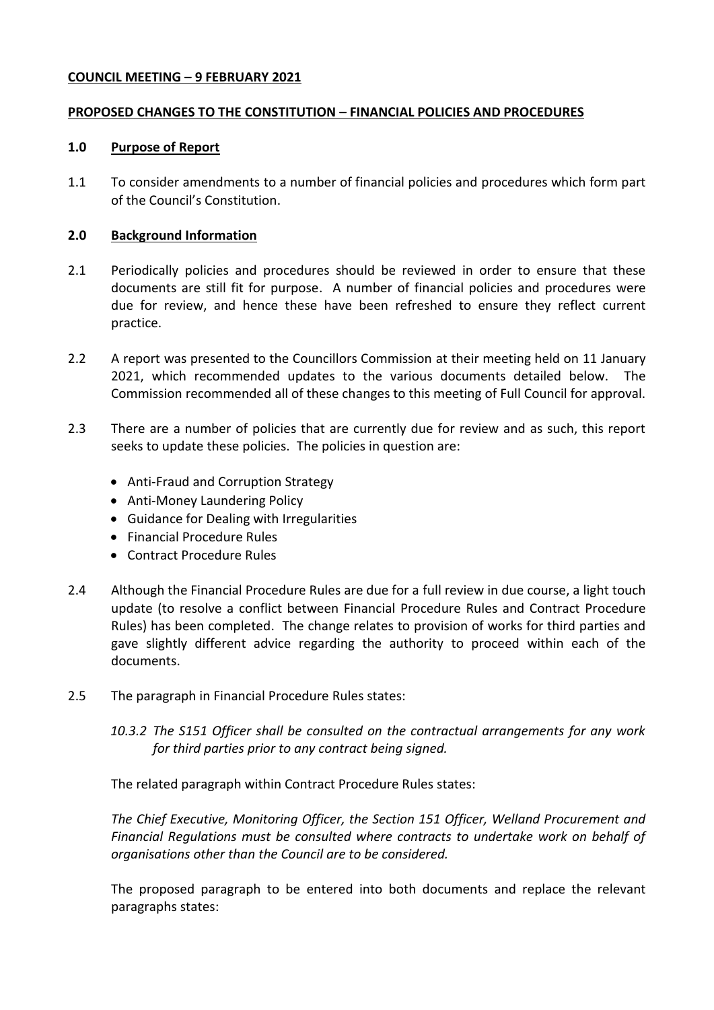## **COUNCIL MEETING – 9 FEBRUARY 2021**

### **PROPOSED CHANGES TO THE CONSTITUTION – FINANCIAL POLICIES AND PROCEDURES**

### **1.0 Purpose of Report**

1.1 To consider amendments to a number of financial policies and procedures which form part of the Council's Constitution.

### **2.0 Background Information**

- 2.1 Periodically policies and procedures should be reviewed in order to ensure that these documents are still fit for purpose. A number of financial policies and procedures were due for review, and hence these have been refreshed to ensure they reflect current practice.
- 2.2 A report was presented to the Councillors Commission at their meeting held on 11 January 2021, which recommended updates to the various documents detailed below. The Commission recommended all of these changes to this meeting of Full Council for approval.
- 2.3 There are a number of policies that are currently due for review and as such, this report seeks to update these policies. The policies in question are:
	- Anti-Fraud and Corruption Strategy
	- Anti-Money Laundering Policy
	- Guidance for Dealing with Irregularities
	- Financial Procedure Rules
	- Contract Procedure Rules
- 2.4 Although the Financial Procedure Rules are due for a full review in due course, a light touch update (to resolve a conflict between Financial Procedure Rules and Contract Procedure Rules) has been completed. The change relates to provision of works for third parties and gave slightly different advice regarding the authority to proceed within each of the documents.
- 2.5 The paragraph in Financial Procedure Rules states:
	- *10.3.2 The S151 Officer shall be consulted on the contractual arrangements for any work for third parties prior to any contract being signed.*

The related paragraph within Contract Procedure Rules states:

*The Chief Executive, Monitoring Officer, the Section 151 Officer, Welland Procurement and Financial Regulations must be consulted where contracts to undertake work on behalf of organisations other than the Council are to be considered.*

The proposed paragraph to be entered into both documents and replace the relevant paragraphs states: